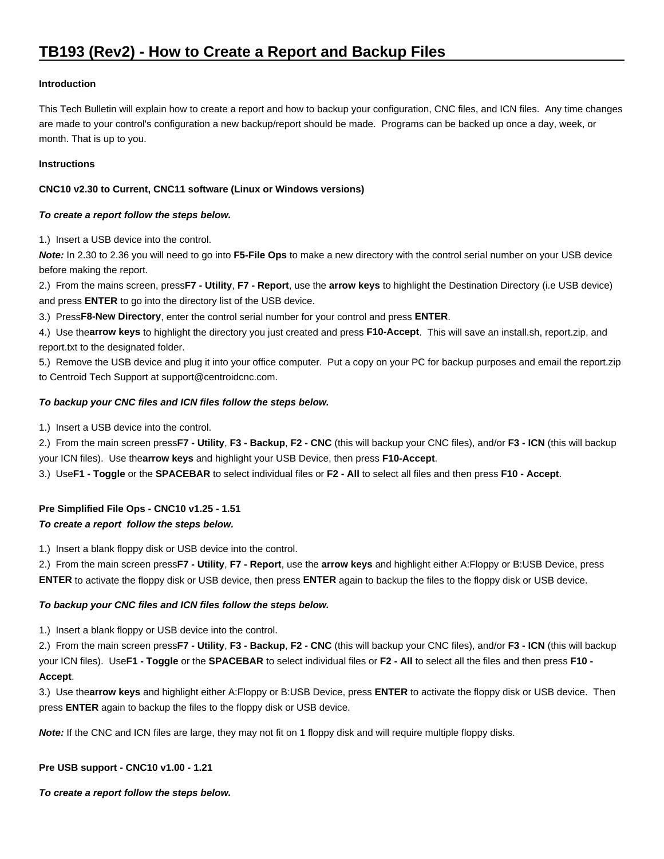#### **Introduction**

This Tech Bulletin will explain how to create a report and how to backup your configuration, CNC files, and ICN files. Any time changes are made to your control's configuration a new backup/report should be made. Programs can be backed up once a day, week, or month. That is up to you.

#### **Instructions**

## **CNC10 v2.30 to Current, CNC11 software (Linux or Windows versions)**

#### **To create a report follow the steps below.**

1.) Insert a USB device into the control.

**Note:** In 2.30 to 2.36 you will need to go into **F5-File Ops** to make a new directory with the control serial number on your USB device before making the report.

2.) From the mains screen, press **F7 - Utility**, **F7 - Report**, use the **arrow keys** to highlight the Destination Directory (i.e USB device) and press **ENTER** to go into the directory list of the USB device.

3.) Press **F8-New Directory**, enter the control serial number for your control and press **ENTER**.

4.) Use the **arrow keys** to highlight the directory you just created and press **F10-Accept**. This will save an install.sh, report.zip, and report.txt to the designated folder.

5.) Remove the USB device and plug it into your office computer. Put a copy on your PC for backup purposes and email the report.zip to Centroid Tech Support at support@centroidcnc.com.

## **To backup your CNC files and ICN files follow the steps below.**

1.) Insert a USB device into the control.

2.) From the main screen press **F7 - Utility**, **F3 - Backup**, **F2 - CNC** (this will backup your CNC files), and/or **F3 - ICN** (this will backup your ICN files). Use the **arrow keys** and highlight your USB Device, then press **F10-Accept**.

3.) Use **F1 - Toggle** or the **SPACEBAR** to select individual files or **F2 - All** to select all files and then press **F10 - Accept**.

# **Pre Simplified File Ops - CNC10 v1.25 - 1.51**

## **To create a report follow the steps below.**

1.) Insert a blank floppy disk or USB device into the control.

2.) From the main screen press **F7 - Utility**, **F7 - Report**, use the **arrow keys** and highlight either A:Floppy or B:USB Device, press **ENTER** to activate the floppy disk or USB device, then press **ENTER** again to backup the files to the floppy disk or USB device.

## **To backup your CNC files and ICN files follow the steps below.**

1.) Insert a blank floppy or USB device into the control.

2.) From the main screen press **F7 - Utility**, **F3 - Backup**, **F2 - CNC** (this will backup your CNC files), and/or **F3 - ICN** (this will backup your ICN files). Use **F1 - Toggle** or the **SPACEBAR** to select individual files or **F2 - All** to select all the files and then press **F10 - Accept**.

3.) Use the **arrow keys** and highlight either A:Floppy or B:USB Device, press **ENTER** to activate the floppy disk or USB device. Then press **ENTER** again to backup the files to the floppy disk or USB device.

**Note:** If the CNC and ICN files are large, they may not fit on 1 floppy disk and will require multiple floppy disks.

## **Pre USB support - CNC10 v1.00 - 1.21**

**To create a report follow the steps below.**